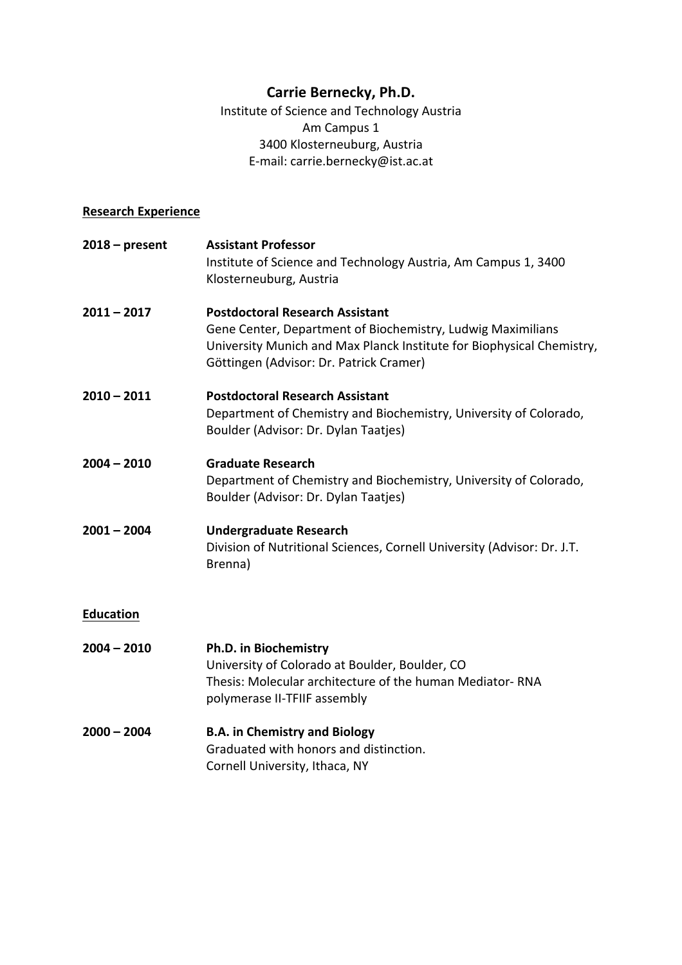# **Carrie Bernecky, Ph.D.**

Institute of Science and Technology Austria Am Campus 1 3400 Klosterneuburg, Austria E-mail: carrie.bernecky@ist.ac.at

# **Research Experience**

| $2018 - present$ | <b>Assistant Professor</b><br>Institute of Science and Technology Austria, Am Campus 1, 3400<br>Klosterneuburg, Austria                                                                                                   |
|------------------|---------------------------------------------------------------------------------------------------------------------------------------------------------------------------------------------------------------------------|
| $2011 - 2017$    | <b>Postdoctoral Research Assistant</b><br>Gene Center, Department of Biochemistry, Ludwig Maximilians<br>University Munich and Max Planck Institute for Biophysical Chemistry,<br>Göttingen (Advisor: Dr. Patrick Cramer) |
| $2010 - 2011$    | <b>Postdoctoral Research Assistant</b><br>Department of Chemistry and Biochemistry, University of Colorado,<br>Boulder (Advisor: Dr. Dylan Taatjes)                                                                       |
| $2004 - 2010$    | <b>Graduate Research</b><br>Department of Chemistry and Biochemistry, University of Colorado,<br>Boulder (Advisor: Dr. Dylan Taatjes)                                                                                     |
| $2001 - 2004$    | <b>Undergraduate Research</b><br>Division of Nutritional Sciences, Cornell University (Advisor: Dr. J.T.<br>Brenna)                                                                                                       |
| <b>Education</b> |                                                                                                                                                                                                                           |
| $2004 - 2010$    | Ph.D. in Biochemistry<br>University of Colorado at Boulder, Boulder, CO<br>Thesis: Molecular architecture of the human Mediator-RNA<br>polymerase II-TFIIF assembly                                                       |
| $2000 - 2004$    | <b>B.A. in Chemistry and Biology</b><br>Graduated with honors and distinction.<br>Cornell University, Ithaca, NY                                                                                                          |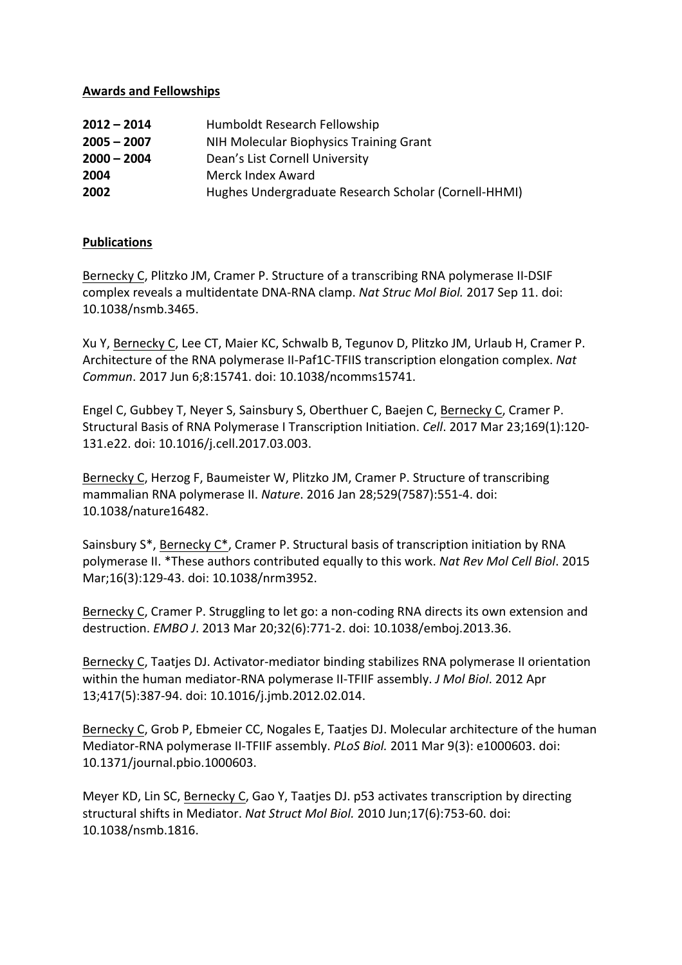## **Awards and Fellowships**

| $2012 - 2014$ | Humboldt Research Fellowship                         |
|---------------|------------------------------------------------------|
| $2005 - 2007$ | NIH Molecular Biophysics Training Grant              |
| $2000 - 2004$ | Dean's List Cornell University                       |
| 2004          | Merck Index Award                                    |
| 2002          | Hughes Undergraduate Research Scholar (Cornell-HHMI) |

## **Publications**

Bernecky C, Plitzko JM, Cramer P. Structure of a transcribing RNA polymerase II-DSIF complex reveals a multidentate DNA-RNA clamp. *Nat Struc Mol Biol.* 2017 Sep 11. doi: 10.1038/nsmb.3465.

Xu Y, Bernecky C, Lee CT, Maier KC, Schwalb B, Tegunov D, Plitzko JM, Urlaub H, Cramer P. Architecture of the RNA polymerase II-Paf1C-TFIIS transcription elongation complex. *Nat Commun*. 2017 Jun 6;8:15741. doi: 10.1038/ncomms15741.

Engel C, Gubbey T, Neyer S, Sainsbury S, Oberthuer C, Baejen C, Bernecky C, Cramer P. Structural Basis of RNA Polymerase I Transcription Initiation. *Cell*. 2017 Mar 23;169(1):120-131.e22. doi: 10.1016/j.cell.2017.03.003.

Bernecky C, Herzog F, Baumeister W, Plitzko JM, Cramer P. Structure of transcribing mammalian RNA polymerase II. *Nature*. 2016 Jan 28;529(7587):551-4. doi: 10.1038/nature16482.

Sainsbury S\*, Bernecky C\*, Cramer P. Structural basis of transcription initiation by RNA polymerase II. \*These authors contributed equally to this work. *Nat Rev Mol Cell Biol.* 2015 Mar;16(3):129-43. doi: 10.1038/nrm3952.

Bernecky C, Cramer P. Struggling to let go: a non-coding RNA directs its own extension and destruction. *EMBO J*. 2013 Mar 20;32(6):771-2. doi: 10.1038/emboj.2013.36.

Bernecky C, Taatjes DJ. Activator-mediator binding stabilizes RNA polymerase II orientation within the human mediator-RNA polymerase II-TFIIF assembly. *J Mol Biol*. 2012 Apr 13;417(5):387-94. doi: 10.1016/j.jmb.2012.02.014.

Bernecky C, Grob P, Ebmeier CC, Nogales E, Taatjes DJ. Molecular architecture of the human Mediator-RNA polymerase II-TFIIF assembly. *PLoS Biol.* 2011 Mar 9(3): e1000603. doi: 10.1371/journal.pbio.1000603.

Meyer KD, Lin SC, Bernecky C, Gao Y, Taatjes DJ. p53 activates transcription by directing structural shifts in Mediator. Nat Struct Mol Biol. 2010 Jun;17(6):753-60. doi: 10.1038/nsmb.1816.